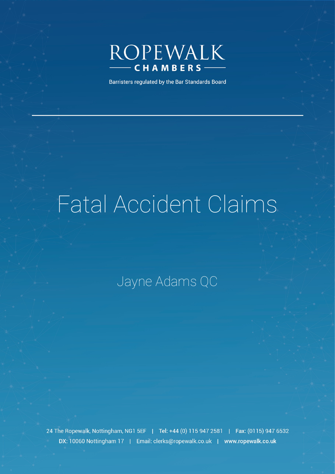

Barristers regulated by the Bar Standards Board

# Fatal Accident Claims

## Jayne Adams QC

24 The Ropewalk, Nottingham, NG1 5EF | Tel: +44 (0) 115 947 2581 | Fax: (0115) 947 6532 DX: 10060 Nottingham 17 | Email: clerks@ropewalk.co.uk | www.ropewalk.co.uk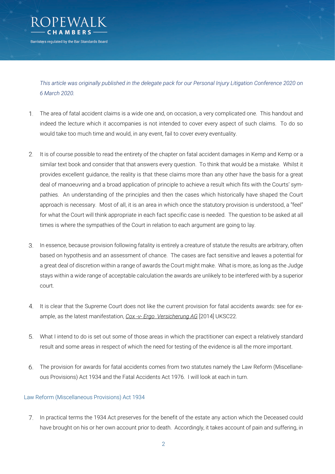

*This article was originally published in the delegate pack for our Personal Injury Litigation Conference 2020 on 6 March 2020.*

- The area of fatal accident claims is a wide one and, on occasion, a very complicated one. This handout and indeed the lecture which it accompanies is not intended to cover every aspect of such claims. To do so would take too much time and would, in any event, fail to cover every eventuality.
- 2. It is of course possible to read the entirety of the chapter on fatal accident damages in Kemp and Kemp or a similar text book and consider that that answers every question. To think that would be a mistake. Whilst it provides excellent guidance, the reality is that these claims more than any other have the basis for a great deal of manoeuvring and a broad application of principle to achieve a result which fits with the Courts' sympathies. An understanding of the principles and then the cases which historically have shaped the Court approach is necessary. Most of all, it is an area in which once the statutory provision is understood, a "feel" for what the Court will think appropriate in each fact specific case is needed. The question to be asked at all times is where the sympathies of the Court in relation to each argument are going to lay.
- In essence, because provision following fatality is entirely a creature of statute the results are arbitrary, often 3. based on hypothesis and an assessment of chance. The cases are fact sensitive and leaves a potential for a great deal of discretion within a range of awards the Court might make. What is more, as long as the Judge stays within a wide range of acceptable calculation the awards are unlikely to be interfered with by a superior court.
- It is clear that the Supreme Court does not like the current provision for fatal accidents awards: see for example, as the latest manifestation, *Cox -v- Ergo Versicherung AG* [2014] UKSC22.
- $5<sub>1</sub>$ What I intend to do is set out some of those areas in which the practitioner can expect a relatively standard result and some areas in respect of which the need for testing of the evidence is all the more important.
- The provision for awards for fatal accidents comes from two statutes namely the Law Reform (Miscellane-6. ous Provisions) Act 1934 and the Fatal Accidents Act 1976. I will look at each in turn.

#### Law Reform (Miscellaneous Provisions) Act 1934

In practical terms the 1934 Act preserves for the benefit of the estate any action which the Deceased could have brought on his or her own account prior to death. Accordingly, it takes account of pain and suffering, in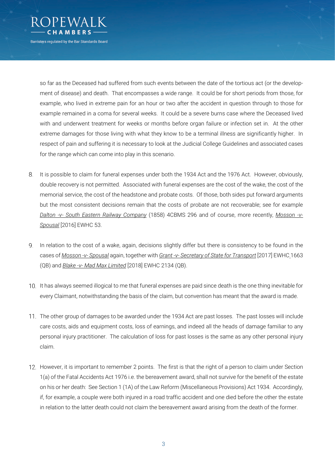

so far as the Deceased had suffered from such events between the date of the tortious act (or the development of disease) and death. That encompasses a wide range. It could be for short periods from those, for example, who lived in extreme pain for an hour or two after the accident in question through to those for example remained in a coma for several weeks. It could be a severe burns case where the Deceased lived with and underwent treatment for weeks or months before organ failure or infection set in. At the other extreme damages for those living with what they know to be a terminal illness are significantly higher. In respect of pain and suffering it is necessary to look at the Judicial College Guidelines and associated cases for the range which can come into play in this scenario.

- 8. It is possible to claim for funeral expenses under both the 1934 Act and the 1976 Act. However, obviously, double recovery is not permitted. Associated with funeral expenses are the cost of the wake, the cost of the memorial service, the cost of the headstone and probate costs. Of those, both sides put forward arguments but the most consistent decisions remain that the costs of probate are not recoverable; see for example *Dalton -v- South Eastern Railway Company* (1858) 4CBMS 296 and of course, more recently, *Mosson -v-Spousal* [2016] EWHC 53.
- In relation to the cost of a wake, again, decisions slightly differ but there is consistency to be found in the 9. cases of *Mosson -v- Spousal* again, together with *Grant -v- Secretary of State for Transport* [2017] EWHC 1663 (QB) and *Blake -v- Mad Max Limited* [2018] EWHC 2134 (QB).
- 10. It has always seemed illogical to me that funeral expenses are paid since death is the one thing inevitable for every Claimant, notwithstanding the basis of the claim, but convention has meant that the award is made.
- 11. The other group of damages to be awarded under the 1934 Act are past losses. The past losses will include care costs, aids and equipment costs, loss of earnings, and indeed all the heads of damage familiar to any personal injury practitioner. The calculation of loss for past losses is the same as any other personal injury claim.
- 12. However, it is important to remember 2 points. The first is that the right of a person to claim under Section 1(a) of the Fatal Accidents Act 1976 i.e. the bereavement award, shall not survive for the benefit of the estate on his or her death: See Section 1 (1A) of the Law Reform (Miscellaneous Provisions) Act 1934. Accordingly, if, for example, a couple were both injured in a road traffic accident and one died before the other the estate in relation to the latter death could not claim the bereavement award arising from the death of the former.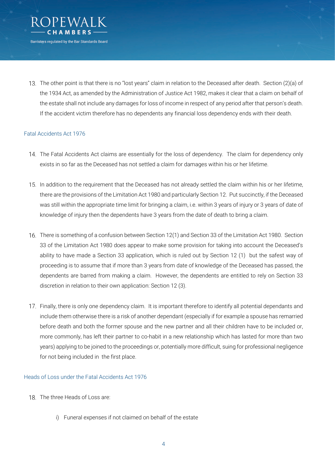

The other point is that there is no "lost years" claim in relation to the Deceased after death. Section (2)(a) of the 1934 Act, as amended by the Administration of Justice Act 1982, makes it clear that a claim on behalf of the estate shall not include any damages for loss of income in respect of any period after that person's death. If the accident victim therefore has no dependents any financial loss dependency ends with their death.

#### Fatal Accidents Act 1976

- 14. The Fatal Accidents Act claims are essentially for the loss of dependency. The claim for dependency only exists in so far as the Deceased has not settled a claim for damages within his or her lifetime.
- 15. In addition to the requirement that the Deceased has not already settled the claim within his or her lifetime, there are the provisions of the Limitation Act 1980 and particularly Section 12. Put succinctly, if the Deceased was still within the appropriate time limit for bringing a claim, i.e. within 3 years of injury or 3 years of date of knowledge of injury then the dependents have 3 years from the date of death to bring a claim.
- There is something of a confusion between Section 12(1) and Section 33 of the Limitation Act 1980. Section 33 of the Limitation Act 1980 does appear to make some provision for taking into account the Deceased's ability to have made a Section 33 application, which is ruled out by Section 12 (1) but the safest way of proceeding is to assume that if more than 3 years from date of knowledge of the Deceased has passed, the dependents are barred from making a claim. However, the dependents are entitled to rely on Section 33 discretion in relation to their own application: Section 12 (3).
- Finally, there is only one dependency claim. It is important therefore to identify all potential dependants and include them otherwise there is a risk of another dependant (especially if for example a spouse has remarried before death and both the former spouse and the new partner and all their children have to be included or, more commonly, has left their partner to co-habit in a new relationship which has lasted for more than two years) applying to be joined to the proceedings or, potentially more difficult, suing for professional negligence for not being included in the first place.

#### Heads of Loss under the Fatal Accidents Act 1976

- 18. The three Heads of Loss are:
	- i) Funeral expenses if not claimed on behalf of the estate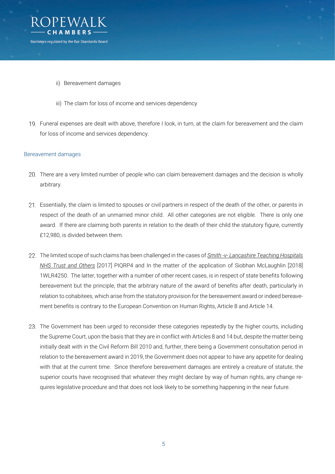

- ii) Bereavement damages
- iii) The claim for loss of income and services dependency
- Funeral expenses are dealt with above, therefore I look, in turn, at the claim for bereavement and the claim for loss of income and services dependency.

#### Bereavement damages

- 20. There are a very limited number of people who can claim bereavement damages and the decision is wholly arbitrary.
- Essentially, the claim is limited to spouses or civil partners in respect of the death of the other, or parents in respect of the death of an unmarried minor child. All other categories are not eligible. There is only one award. If there are claiming both parents in relation to the death of their child the statutory figure, currently £12,980, is divided between them.
- The limited scope of such claims has been challenged in the cases of *Smith -v- Lancashire Teaching Hospitals NHS Trust and Others* [2017] PIQRP4 and In the matter of the application of Siobhan McLaughlin [2018] 1WLR4250. The latter, together with a number of other recent cases, is in respect of state benefits following bereavement but the principle, that the arbitrary nature of the award of benefits after death, particularly in relation to cohabitees, which arise from the statutory provision for the bereavement award or indeed bereavement benefits is contrary to the European Convention on Human Rights, Article 8 and Article 14.
- 23. The Government has been urged to reconsider these categories repeatedly by the higher courts, including the Supreme Court, upon the basis that they are in conflict with Articles 8 and 14 but, despite the matter being initially dealt with in the Civil Reform Bill 2010 and, further, there being a Government consultation period in relation to the bereavement award in 2019, the Government does not appear to have any appetite for dealing with that at the current time. Since therefore bereavement damages are entirely a creature of statute, the superior courts have recognised that whatever they might declare by way of human rights, any change requires legislative procedure and that does not look likely to be something happening in the near future.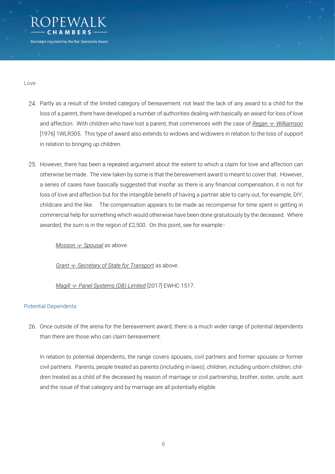

#### Love

- Partly as a result of the limited category of bereavement, not least the lack of any award to a child for the loss of a parent, there have developed a number of authorities dealing with basically an award for loss of love and affection. With children who have lost a parent, that commences with the case of *Regan -v- Williamson* [1976] 1WLR305. This type of award also extends to widows and widowers in relation to the loss of support in relation to bringing up children.
- 25. However, there has been a repeated argument about the extent to which a claim for love and affection can otherwise be made. The view taken by some is that the bereavement award is meant to cover that. However, a series of cases have basically suggested that insofar as there is any financial compensation, it is not for loss of love and affection but for the intangible benefit of having a partner able to carry out, for example, DIY, childcare and the like. The compensation appears to be made as recompense for time spent in getting in commercial help for something which would otherwise have been done gratuitously by the deceased. Where awarded, the sum is in the region of £2,500. On this point, see for example:-

*Mosson -v- Spousal* as above.

*Grant -v- Secretary of State for Transport* as above.

*Magill -v- Panel Systems (DB) Limited* [2017] EWHC 1517.

#### Potential Dependents

26. Once outside of the arena for the bereavement award, there is a much wider range of potential dependents than there are those who can claim bereavement.

In relation to potential dependents, the range covers spouses, civil partners and former spouses or former civil partners. Parents, people treated as parents (including in-laws), children, including unborn children, children treated as a child of the deceased by reason of marriage or civil partnership, brother, sister, uncle, aunt and the issue of that category and by marriage are all potentially eligible.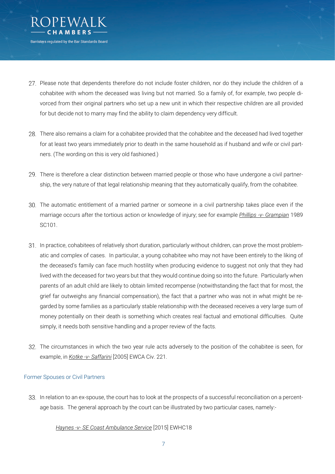

- 27. Please note that dependents therefore do not include foster children, nor do they include the children of a cohabitee with whom the deceased was living but not married. So a family of, for example, two people divorced from their original partners who set up a new unit in which their respective children are all provided for but decide not to marry may find the ability to claim dependency very difficult.
- There also remains a claim for a cohabitee provided that the cohabitee and the deceased had lived together for at least two years immediately prior to death in the same household as if husband and wife or civil partners. (The wording on this is very old fashioned.)
- 29. There is therefore a clear distinction between married people or those who have undergone a civil partnership, the very nature of that legal relationship meaning that they automatically qualify, from the cohabitee.
- 30. The automatic entitlement of a married partner or someone in a civil partnership takes place even if the marriage occurs after the tortious action or knowledge of injury; see for example *Phillips -v- Grampian* 1989 SC101.
- 31. In practice, cohabitees of relatively short duration, particularly without children, can prove the most problematic and complex of cases. In particular, a young cohabitee who may not have been entirely to the liking of the deceased's family can face much hostility when producing evidence to suggest not only that they had lived with the deceased for two years but that they would continue doing so into the future. Particularly when parents of an adult child are likely to obtain limited recompense (notwithstanding the fact that for most, the grief far outweighs any financial compensation), the fact that a partner who was not in what might be regarded by some families as a particularly stable relationship with the deceased receives a very large sum of money potentially on their death is something which creates real factual and emotional difficulties. Quite simply, it needs both sensitive handling and a proper review of the facts.
- 32. The circumstances in which the two year rule acts adversely to the position of the cohabitee is seen, for example, in *Kotke -v- Saffarini* [2005] EWCA Civ. 221.

#### Former Spouses or Civil Partners

33. In relation to an ex-spouse, the court has to look at the prospects of a successful reconciliation on a percentage basis. The general approach by the court can be illustrated by two particular cases, namely:-

#### *Haynes -v- SE Coast Ambulance Service* [2015] EWHC18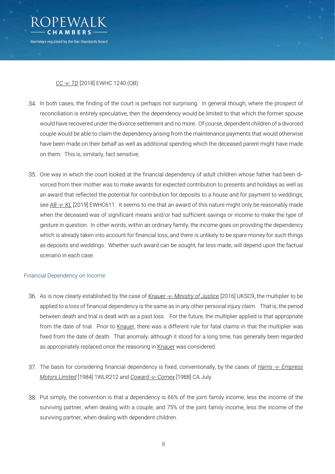

### *CC -v- TD* [2018] EWHC 1240 (QB)

- 34. In both cases, the finding of the court is perhaps not surprising. In general though, where the prospect of reconciliation is entirely speculative, then the dependency would be limited to that which the former spouse would have recovered under the divorce settlement and no more. Of course, dependent children of a divorced couple would be able to claim the dependency arising from the maintenance payments that would otherwise have been made on their behalf as well as additional spending which the deceased parent might have made on them. This is, similarly, fact sensitive.
- 35. One way in which the court looked at the financial dependency of adult children whose father had been divorced from their mother was to make awards for expected contribution to presents and holidays as well as an award that reflected the potential for contribution for deposits to a house and for payment to weddings; see *AB -v- KL* [2019] EWHC611. It seems to me that an award of this nature might only be reasonably made when the deceased was of significant means and/or had sufficient savings or income to make the type of gesture in question. In other words, within an ordinary family, the income goes on providing the dependency which is already taken into account for financial loss, and there is unlikely to be spare money for such things as deposits and weddings. Whether such award can be sought, far less made, will depend upon the factual scenario in each case.

#### Financial Dependency on Income

- As is now clearly established by the case of *Knauer -v- Ministry of Justice* [2016] UKSC9, the multiplier to be applied to a loss of financial dependency is the same as in any other personal injury claim. That is, the period between death and trial is dealt with as a past loss. For the future, the multiplier applied is that appropriate from the date of trial. Prior to Knauer, there was a different rule for fatal claims in that the multiplier was fixed from the date of death. That anomaly, although it stood for a long time, has generally been regarded as appropriately replaced once the reasoning in Knauer was considered.
- The basis for considering financial dependency is fixed, conventionally, by the cases of *Harris -v- Empress Motors Limited* [1984] 1WLR212 and *Coward -v- Comex* [1988] CA July.
- 38. Put simply, the convention is that a dependency is 66% of the joint family income, less the income of the surviving partner, when dealing with a couple, and 75% of the joint family income, less the income of the surviving partner, when dealing with dependent children.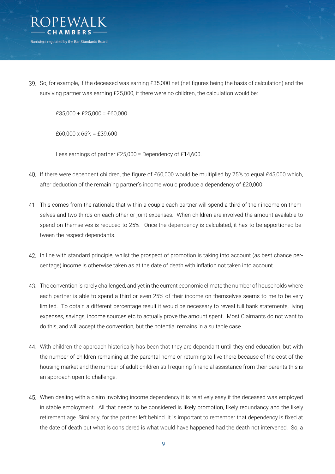

So, for example, if the deceased was earning £35,000 net (net figures being the basis of calculation) and the surviving partner was earning £25,000, if there were no children, the calculation would be:

 $£35,000 + £25,000 = £60,000$ 

£60,000 x 66% = £39,600

Less earnings of partner £25,000 = Dependency of £14,600.

- If there were dependent children, the figure of £60,000 would be multiplied by 75% to equal £45,000 which, after deduction of the remaining partner's income would produce a dependency of £20,000.
- This comes from the rationale that within a couple each partner will spend a third of their income on themselves and two thirds on each other or joint expenses. When children are involved the amount available to spend on themselves is reduced to 25%. Once the dependency is calculated, it has to be apportioned between the respect dependants.
- In line with standard principle, whilst the prospect of promotion is taking into account (as best chance percentage) income is otherwise taken as at the date of death with inflation not taken into account.
- The convention is rarely challenged, and yet in the current economic climate the number of households where each partner is able to spend a third or even 25% of their income on themselves seems to me to be very limited. To obtain a different percentage result it would be necessary to reveal full bank statements, living expenses, savings, income sources etc to actually prove the amount spent. Most Claimants do not want to do this, and will accept the convention, but the potential remains in a suitable case.
- 44. With children the approach historically has been that they are dependant until they end education, but with the number of children remaining at the parental home or returning to live there because of the cost of the housing market and the number of adult children still requiring financial assistance from their parents this is an approach open to challenge.
- 45. When dealing with a claim involving income dependency it is relatively easy if the deceased was employed in stable employment. All that needs to be considered is likely promotion, likely redundancy and the likely retirement age. Similarly, for the partner left behind. It is important to remember that dependency is fixed at the date of death but what is considered is what would have happened had the death not intervened. So, a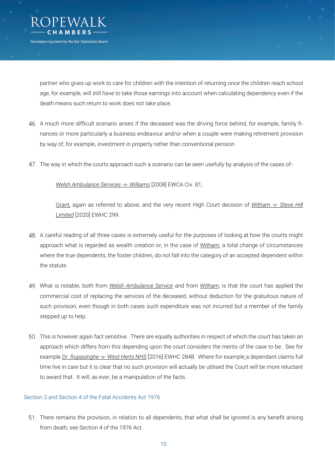

partner who gives up work to care for children with the intention of returning once the children reach school age, for example, will still have to take those earnings into account when calculating dependency even if the death means such return to work does not take place.

- A much more difficult scenario arises if the deceased was the driving force behind, for example, family finances or more particularly a business endeavour and/or when a couple were making retirement provision by way of, for example, investment in property rather than conventional pension.
- The way in which the courts approach such a scenario can be seen usefully by analysis of the cases of:-

*Welsh Ambulance Services -v- Williams* [2008] EWCA Civ. 81,

Grant, again as referred to above, and the very recent High Court decision of *Witham -v- Steve Hill Limited* [2020] EWHC 299.

- A careful reading of all three cases is extremely useful for the purposes of looking at how the courts might approach what is regarded as wealth creation or, in the case of Witham, a total change of circumstances where the true dependents, the foster children, do not fall into the category of an accepted dependent within the statute.
- What is notable, both from *Welsh Ambulance Service* and from *Witham*, is that the court has applied the commercial cost of replacing the services of the deceased, without deduction for the gratuitous nature of such provision, even though in both cases such expenditure was not incurred but a member of the family stepped up to help.
- This is however again fact sensitive. There are equally authorities in respect of which the court has taken an approach which differs from this depending upon the court considers the merits of the case to be. See for example *Dr. Rupasinghe -v- West Herts NHS* [2016] EWHC 2848. Where for example a dependant claims full time live in care but it is clear that no such provision will actually be utilised the Court will be more reluctant to award that. It will, as ever, be a manipulation of the facts.

#### Section 3 and Section 4 of the Fatal Accidents Act 1976

There remains the provision, in relation to all dependents, that what shall be ignored is any benefit arising from death; see Section 4 of the 1976 Act.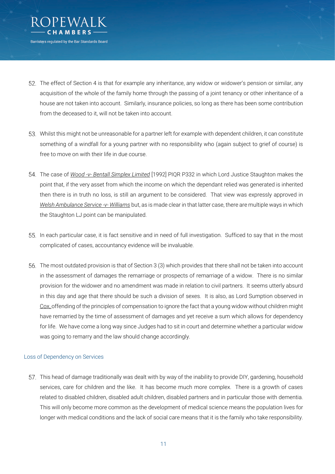

- 52. The effect of Section 4 is that for example any inheritance, any widow or widower's pension or similar, any acquisition of the whole of the family home through the passing of a joint tenancy or other inheritance of a house are not taken into account. Similarly, insurance policies, so long as there has been some contribution from the deceased to it, will not be taken into account.
- Whilst this might not be unreasonable for a partner left for example with dependent children, it can constitute something of a windfall for a young partner with no responsibility who (again subject to grief of course) is free to move on with their life in due course.
- The case of *Wood -v- Bentall Simplex Limited* [1992] PIQR P332 in which Lord Justice Staughton makes the point that, if the very asset from which the income on which the dependant relied was generated is inherited then there is in truth no loss, is still an argument to be considered. That view was expressly approved in *Welsh Ambulance Service -v- Williams* but, as is made clear in that latter case, there are multiple ways in which the Staughton LJ point can be manipulated.
- 55. In each particular case, it is fact sensitive and in need of full investigation. Sufficed to say that in the most complicated of cases, accountancy evidence will be invaluable.
- The most outdated provision is that of Section 3 (3) which provides that there shall not be taken into account in the assessment of damages the remarriage or prospects of remarriage of a widow. There is no similar provision for the widower and no amendment was made in relation to civil partners. It seems utterly absurd in this day and age that there should be such a division of sexes. It is also, as Lord Sumption observed in Cox, offending of the principles of compensation to ignore the fact that a young widow without children might have remarried by the time of assessment of damages and yet receive a sum which allows for dependency for life. We have come a long way since Judges had to sit in court and determine whether a particular widow was going to remarry and the law should change accordingly.

#### Loss of Dependency on Services

57. This head of damage traditionally was dealt with by way of the inability to provide DIY, gardening, household services, care for children and the like. It has become much more complex. There is a growth of cases related to disabled children, disabled adult children, disabled partners and in particular those with dementia. This will only become more common as the development of medical science means the population lives for longer with medical conditions and the lack of social care means that it is the family who take responsibility.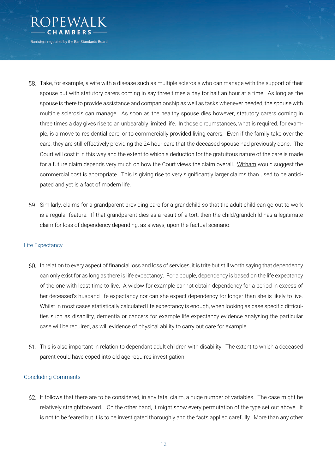

- Take, for example, a wife with a disease such as multiple sclerosis who can manage with the support of their spouse but with statutory carers coming in say three times a day for half an hour at a time. As long as the spouse is there to provide assistance and companionship as well as tasks whenever needed, the spouse with multiple sclerosis can manage. As soon as the healthy spouse dies however, statutory carers coming in three times a day gives rise to an unbearably limited life. In those circumstances, what is required, for example, is a move to residential care, or to commercially provided living carers. Even if the family take over the care, they are still effectively providing the 24 hour care that the deceased spouse had previously done. The Court will cost it in this way and the extent to which a deduction for the gratuitous nature of the care is made for a future claim depends very much on how the Court views the claim overall. Witham would suggest the commercial cost is appropriate. This is giving rise to very significantly larger claims than used to be anticipated and yet is a fact of modern life.
- Similarly, claims for a grandparent providing care for a grandchild so that the adult child can go out to work is a regular feature. If that grandparent dies as a result of a tort, then the child/grandchild has a legitimate claim for loss of dependency depending, as always, upon the factual scenario.

#### Life Expectancy

- In relation to every aspect of financial loss and loss of services, it is trite but still worth saying that dependency can only exist for as long as there is life expectancy. For a couple, dependency is based on the life expectancy of the one with least time to live. A widow for example cannot obtain dependency for a period in excess of her deceased's husband life expectancy nor can she expect dependency for longer than she is likely to live. Whilst in most cases statistically calculated life expectancy is enough, when looking as case specific difficulties such as disability, dementia or cancers for example life expectancy evidence analysing the particular case will be required, as will evidence of physical ability to carry out care for example.
- This is also important in relation to dependant adult children with disability. The extent to which a deceased parent could have coped into old age requires investigation.

#### Concluding Comments

It follows that there are to be considered, in any fatal claim, a huge number of variables. The case might be relatively straightforward. On the other hand, it might show every permutation of the type set out above. It is not to be feared but it is to be investigated thoroughly and the facts applied carefully. More than any other